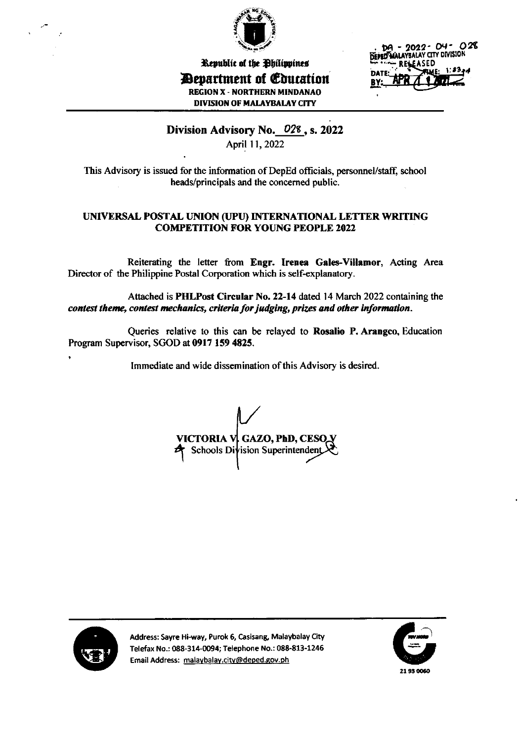

Republic of the Philippines *Devartment of Education* **REGION X - NORTHERN MINDANAO DIVISION OF MALAYBALAY CITY** 

DA - 2022- 04- 028 DEPED MALAYBALAY CITY DIVISION **ASED**  $1.43$ 

# Division Advisory No. 028, s. 2022

April 11, 2022

This Advisory is issued for the information of DepEd officials, personnel/staff, school heads/principals and the concerned public.

## UNIVERSAL POSTAL UNION (UPU) INTERNATIONAL LETTER WRITING **COMPETITION FOR YOUNG PEOPLE 2022**

Reiterating the letter from Engr. Irenea Gales-Villamor, Acting Area Director of the Philippine Postal Corporation which is self-explanatory.

Attached is PHLPost Circular No. 22-14 dated 14 March 2022 containing the contest theme, contest mechanics, criteria for judging, prizes and other information.

Queries relative to this can be relayed to Rosalio P. Arangeo, Education Program Supervisor, SGOD at 0917 159 4825.

Immediate and wide dissemination of this Advisory is desired.

VICTORIA V, GAZO, PhD, CESO. Schools Division Superintendent



Address: Sayre Hi-way, Purok 6, Casisang, Malaybalay City Telefax No.: 088-314-0094; Telephone No.: 088-813-1246 Email Address: malaybalay.city@deped.gov.ph

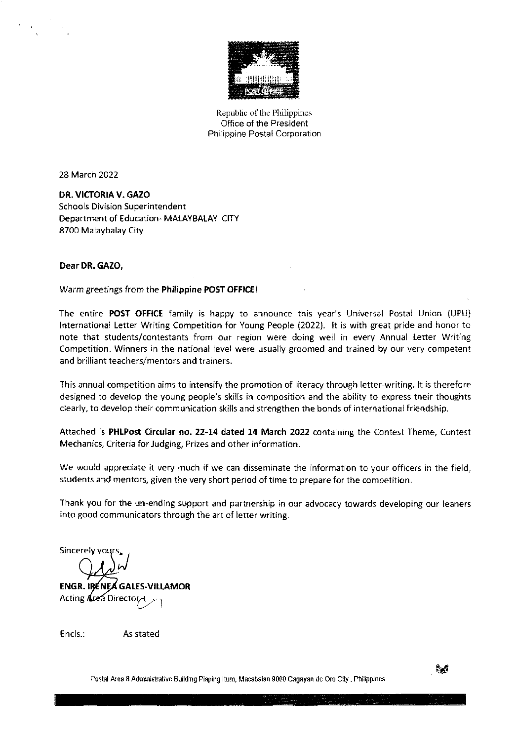

Republic of the Philippines Office of the President Philippine Postal Corporation

28 March 2022

DR. VICTORIA V. GAZO Schools Division Superintendent Department of Education- MALAYBALAY CITY 8700 Malaybalay City

## Dear DR. GAZO,

Warm greetings from the Philippine POST OFFICE!

The entire POST OFFICE family is happy to announce this year's Universal Postal Union (UPU) International Letter Writing Competition for Young People (2022). It is with great pride and honor to note that students/contestants from our region were doing well in every Annual Letter Writing Competition. Winners in the national level were usually groomed and trained by our very competent and brilliant teachers/mentors and trainers.

This annual competition aims to intensify the promotion of literacy through letter-writing. lt is therefore designed to develop the young people's skills in composition and the ability to express their thoughts clearly, to develop their communication skills and strengthen the bonds of international friendship.

Attached is PHLPost Circular no.22-14 dated 14 March 2022 containing the Contest Theme, Contest Mechanics, Criteria for Judging, Prizes and other information.

We would appreciate it very much if we can disseminate the information to your officers in the field, students and mentors, given the very short period of time to prepare for the competition.

Thank you for the un-ending support and partnership in our advocacy towards developing our leaners into good communicators through the art of letter writing.

Sincerely

 $\omega'$ 

ENGR. IRENEA GALES-VILLAMOR Acting Area Director

Encls.: As stated

Postal Area 8 Administrative Building Piaping Itum, Macabalan 9000 Cagayan de Oro City, Philippines

s<br>a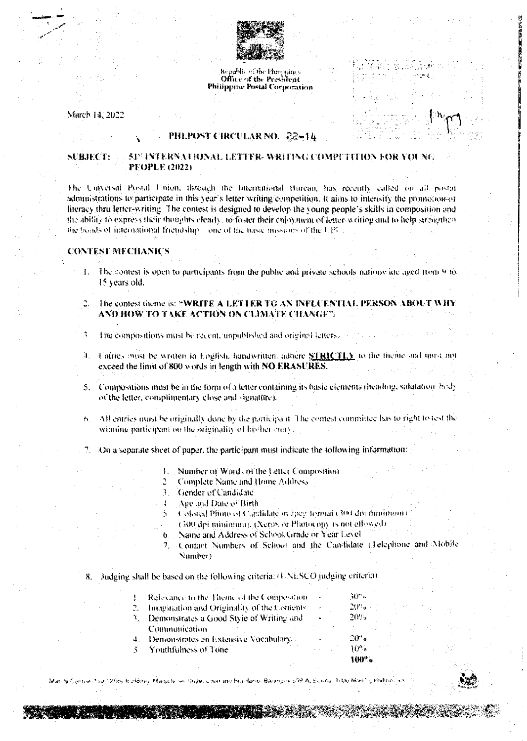

Republic of the Philippines Office of the President Philippine Postal Corporation

March 14, 2022

#### PHLPOST CIRCULAR NO. -22=14

#### 517 INTERNATIONAL LETTER-WRITING COMPITITION FOR YOUNG NERBET **PEOPLE (2022)**

The Universal Postal Union, through the International Bureau, has recently called on all postal administrations to participate in this year's letter writing competition. It aims to intensify the promotion-or literacy thru letter-writing. The contest is designed to develop the young people's skills in composition and the ability to express their thoughts clearly, to foster their enjoyment of letter-writing and to help streagthen the books of international friendship cone of the basic missions of the UPI.

#### **CONTEST MECHANICS**

- 1. The contest is open to participants from the public and private schools nations ide aged from 9 to 15 years old.
- 2. The contest theme is: "WRITE A LETTER TO AN INFLUENTIA PERSON AROUT AND HOW TO TAKE ACTION ON CLIMATE CHANGE"

The compositions must be recent, unpublished and original letters.

- Tatrics outst be written in English, handwritten, adhere **STRICTLY** to the theme and may not exceed the limit of 800 words in length with NO ERASURES.
- 5. Compositions must be in the form of a letter containing its basic elements (heading, salutation, body of the letter, complimentary close and signature).
- 6. All entries must be originally done by the participant. The contest committee has to right to test the winning participant on the originality of his her entry.
- On a separate sheet of paper, the participant must indicate the following information:
	- Number of Words of the Letter Composition.  $\mathbf{I}$
	- **Complete Name and Home Address**  $\overline{c}$
	- $\mathfrak{Z}$ Cender of Candidate
	- Age and Date of Birth 4
	- Colored Photo of Cardidate in Ipeg formal (300 dpi minimum).
	- (300 dpi minimum), (Xero), or Photocopy is not allowed).
	- Name and Address of School Grade or Year Level  $\ddot{\mathbf{a}}$
	- Contact Numbers of School and the Candidate (Telephone and Mobile Number)

8. Judging shall be based on the following criteria: (UNESCO judging criteria)

| ٠            | $-11$            |
|--------------|------------------|
| $\epsilon$ . | $\gamma_{\rm U}$ |
| ٠            | 20%              |
|              |                  |
| ×.           | -2010            |
|              | 10%              |
|              | $100^{\circ}$    |
|              |                  |